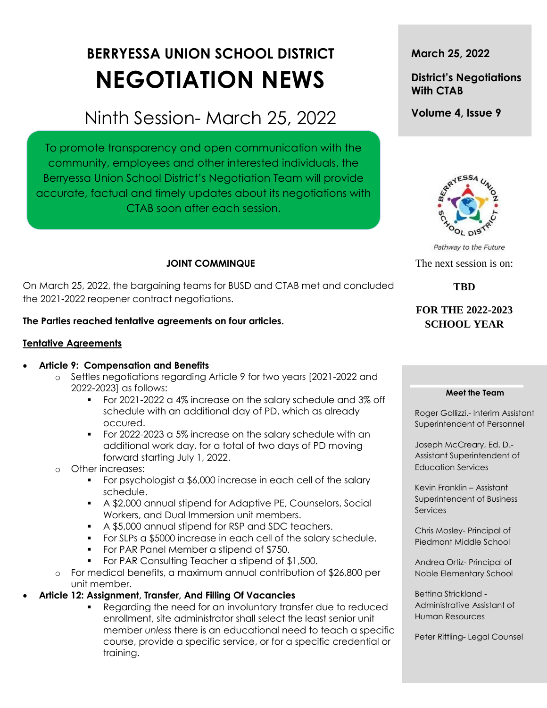# **BERRYESSA UNION SCHOOL DISTRICT NEGOTIATION NEWS**

## Ninth Session- March 25, 2022

To promote transparency and open communication with the community, employees and other interested individuals, the Berryessa Union School District's Negotiation Team will provide accurate, factual and timely updates about its negotiations with CTAB soon after each session.

## **JOINT COMMINQUE**

On March 25, 2022, the bargaining teams for BUSD and CTAB met and concluded the 2021-2022 reopener contract negotiations.

## **The Parties reached tentative agreements on four articles.**

## **Tentative Agreements**

## **Article 9: Compensation and Benefits**

- o Settles negotiations regarding Article 9 for two years [2021-2022 and 2022-2023] as follows:
	- For 2021-2022 a 4% increase on the salary schedule and 3% off schedule with an additional day of PD, which as already occured.
	- For 2022-2023 a 5% increase on the salary schedule with an additional work day, for a total of two days of PD moving forward starting July 1, 2022.
- o Other increases:
	- For psychologist a \$6,000 increase in each cell of the salary schedule.
	- A \$2,000 annual stipend for Adaptive PE, Counselors, Social Workers, and Dual Immersion unit members.
	- A \$5,000 annual stipend for RSP and SDC teachers.
	- For SLPs a \$5000 increase in each cell of the salary schedule.
	- **For PAR Panel Member a stipend of \$750.**
	- **For PAR Consulting Teacher a stipend of \$1,500.**
- o For medical benefits, a maximum annual contribution of \$26,800 per unit member.
- **Article 12: Assignment, Transfer, And Filling Of Vacancies**
	- Regarding the need for an involuntary transfer due to reduced enrollment, site administrator shall select the least senior unit member *unless* there is an educational need to teach a specific course, provide a specific service, or for a specific credential or training.

**March 25, 2022**

## **District's Negotiations With CTAB**

**Volume 4, Issue 9**



Pathway to the Future The next session is on:

**TBD** 

## **FOR THE 2022-2023 SCHOOL YEAR**

#### **Meet the Team**

Roger Gallizzi.- Interim Assistant Superintendent of Personnel

Joseph McCreary, Ed. D.- Assistant Superintendent of Education Services

Kevin Franklin – Assistant Superintendent of Business **Services** 

Chris Mosley- Principal of Piedmont Middle School

Andrea Ortiz- Principal of Noble Elementary School

Bettina Strickland - Administrative Assistant of Human Resources

Peter Rittling- Legal Counsel

t